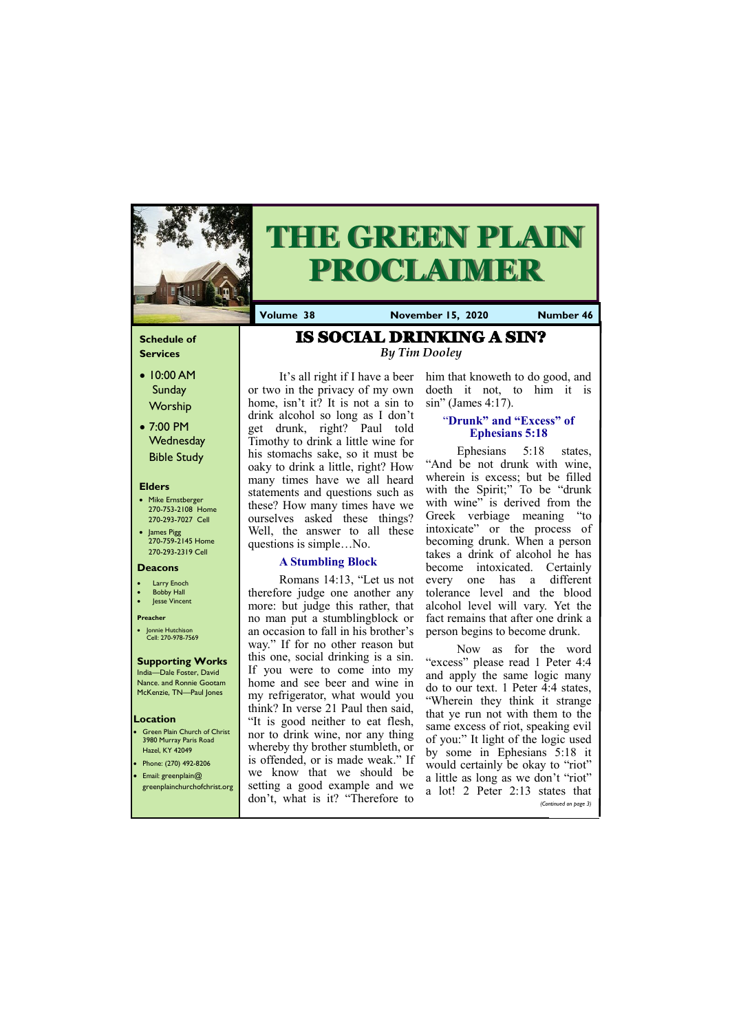## **Schedule of Services**

- 10:00 AM Sunday Worship
- 7:00 PM **Wednesday** Bible Study

#### **Elders**

- Mike Ernstberger 270-753-2108 Home 270-293-7027 Cell
- James Pigg 270-759-2145 Home 270-293-2319 Cell

- **Green Plain Church of Christ** 3980 Murray Paris Road Hazel, KY 42049 • Phone: (270) 492-8206
- Email: greenplain@

#### **Location**



# **THE GREEN PLAIN PROCLAIMER**

**Volume 38 November 15, 2020 Number 46**

#### **Deacons**

- **Larry Enoch**
- **Bobby Hall** Jesse Vincent

## **Preacher**

• Jonnie Hutchison Cell: 270-978-7569

#### **Supporting Works** India—Dale Foster, David

Nance. and Ronnie Gootam McKenzie, TN—Paul Jones

It's all right if I have a beer or two in the privacy of my own home, isn't it? It is not a sin to drink alcohol so long as I don't get drunk, right? Paul told Timothy to drink a little wine for his stomachs sake, so it must be oaky to drink a little, right? How many times have we all heard statements and questions such as these? How many times have we ourselves asked these things? Well, the answer to all these questions is simple…No.

## **A Stumbling Block**

Now as for the word "excess" please read 1 Peter 4:4 and apply the same logic many do to our text. 1 Peter 4:4 states, "Wherein they think it strange that ye run not with them to the same excess of riot, speaking evil of you:" It light of the logic used by some in Ephesians 5:18 it would certainly be okay to "riot" a little as long as we don't "riot"

Romans 14:13, "Let us not therefore judge one another any more: but judge this rather, that no man put a stumblingblock or an occasion to fall in his brother's way." If for no other reason but this one, social drinking is a sin. If you were to come into my home and see beer and wine in my refrigerator, what would you think? In verse 21 Paul then said, "It is good neither to eat flesh, nor to drink wine, nor any thing whereby thy brother stumbleth, or is offended, or is made weak." If we know that we should be

| greenplainchurchofchrist.org setting a good example and we a lot! 2 Peter 2:13 states that<br>don't, what is it? "Therefore to |                       |
|--------------------------------------------------------------------------------------------------------------------------------|-----------------------|
|                                                                                                                                | (Continued on page 3) |
|                                                                                                                                |                       |

him that knoweth to do good, and doeth it not, to him it is sin" (James 4:17).

## "**Drunk" and "Excess" of Ephesians 5:18**

Ephesians 5:18 states, "And be not drunk with wine, wherein is excess; but be filled with the Spirit;" To be "drunk" with wine" is derived from the Greek verbiage meaning "to intoxicate" or the process of becoming drunk. When a person takes a drink of alcohol he has become intoxicated. Certainly every one has a different tolerance level and the blood alcohol level will vary. Yet the fact remains that after one drink a person begins to become drunk.

IS SOCIAL DRINKING A SIN? *By Tim Dooley*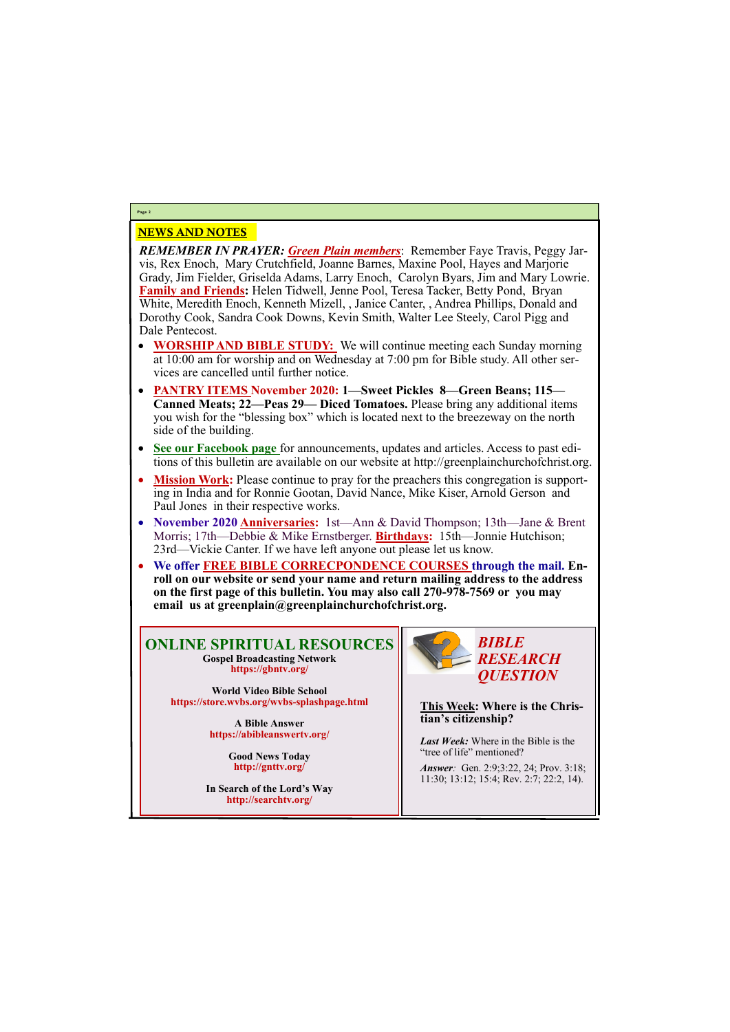## NEWS AND NOTES

*REMEMBER IN PRAYER: Green Plain members*: Remember Faye Travis, Peggy Jarvis, Rex Enoch, Mary Crutchfield, Joanne Barnes, Maxine Pool, Hayes and Marjorie Grady, Jim Fielder, Griselda Adams, Larry Enoch, Carolyn Byars, Jim and Mary Lowrie. **Family and Friends:** Helen Tidwell, Jenne Pool, Teresa Tacker, Betty Pond, Bryan White, Meredith Enoch, Kenneth Mizell, , Janice Canter, , Andrea Phillips, Donald and Dorothy Cook, Sandra Cook Downs, Kevin Smith, Walter Lee Steely, Carol Pigg and Dale Pentecost.

- **WORSHIP AND BIBLE STUDY:** We will continue meeting each Sunday morning at 10:00 am for worship and on Wednesday at 7:00 pm for Bible study. All other services are cancelled until further notice.
- **PANTRY ITEMS November 2020: 1—Sweet Pickles 8—Green Beans; 115— Canned Meats; 22—Peas 29— Diced Tomatoes.** Please bring any additional items you wish for the "blessing box" which is located next to the breezeway on the north side of the building.
- **See our Facebook page** for announcements, updates and articles. Access to past editions of this bulletin are available on our website at http://greenplainchurchofchrist.org.
- **Mission Work:** Please continue to pray for the preachers this congregation is supporting in India and for Ronnie Gootan, David Nance, Mike Kiser, Arnold Gerson and Paul Jones in their respective works.
- **November 2020 Anniversaries:** 1st—Ann & David Thompson; 13th—Jane & Brent Morris; 17th—Debbie & Mike Ernstberger. **Birthdays:** 15th—Jonnie Hutchison; 23rd—Vickie Canter. If we have left anyone out please let us know.
- **We offer FREE BIBLE CORRECPONDENCE COURSES through the mail. Enroll on our website or send your name and return mailing address to the address on the first page of this bulletin. You may also call 270-978-7569 or you may email us at greenplain@greenplainchurchofchrist.org.**

## **Page 2**

## **ONLINE SPIRITUAL RESOURCES Gospel Broadcasting Network https://gbntv.org/**

**World Video Bible School https://store.wvbs.org/wvbs-splashpage.html**

> **A Bible Answer https://abibleanswertv.org/**

> > **Good News Today http://gnttv.org/**

**In Search of the Lord's Way http://searchtv.org/**



**This Week: Where is the Christian's citizenship?**

*Last Week:* Where in the Bible is the "tree of life" mentioned?

*Answer:* Gen. 2:9;3:22, 24; Prov. 3:18;

11:30; 13:12; 15:4; Rev. 2:7; 22:2, 14).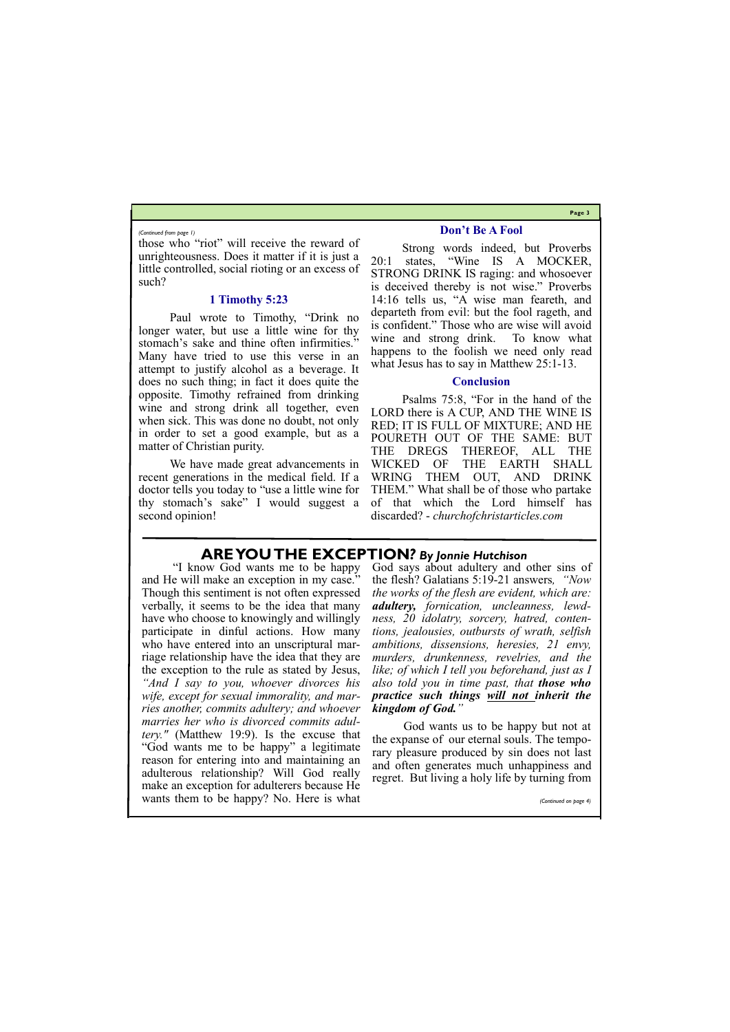**Page 3**

those who "riot" will receive the reward of unrighteousness. Does it matter if it is just a little controlled, social rioting or an excess of such?

#### **1 Timothy 5:23**

Paul wrote to Timothy, "Drink no longer water, but use a little wine for thy stomach's sake and thine often infirmities." Many have tried to use this verse in an attempt to justify alcohol as a beverage. It does no such thing; in fact it does quite the opposite. Timothy refrained from drinking wine and strong drink all together, even when sick. This was done no doubt, not only in order to set a good example, but as a matter of Christian purity.

We have made great advancements in recent generations in the medical field. If a doctor tells you today to "use a little wine for thy stomach's sake" I would suggest a second opinion!

#### **Don't Be A Fool**

Strong words indeed, but Proverbs 20:1 states, "Wine IS A MOCKER, STRONG DRINK IS raging: and whosoever is deceived thereby is not wise." Proverbs 14:16 tells us, "A wise man feareth, and departeth from evil: but the fool rageth, and is confident." Those who are wise will avoid wine and strong drink. To know what happens to the foolish we need only read what Jesus has to say in Matthew 25:1-13.

#### **Conclusion**

Psalms 75:8, "For in the hand of the LORD there is A CUP, AND THE WINE IS RED; IT IS FULL OF MIXTURE; AND HE POURETH OUT OF THE SAME: BUT THE DREGS THEREOF, ALL THE WICKED OF THE EARTH SHALL WRING THEM OUT, AND DRINK THEM." What shall be of those who partake of that which the Lord himself has discarded? - *churchofchristarticles.com* 

*(Continued from page 1)*

## **ARE YOU THE EXCEPTION***? By Jonnie Hutchison*

"I know God wants me to be happy and He will make an exception in my case." Though this sentiment is not often expressed verbally, it seems to be the idea that many have who choose to knowingly and willingly participate in dinful actions. How many who have entered into an unscriptural marriage relationship have the idea that they are the exception to the rule as stated by Jesus, *"And I say to you, whoever divorces his wife, except for sexual immorality, and marries another, commits adultery; and whoever marries her who is divorced commits adultery."* (Matthew 19:9). Is the excuse that "God wants me to be happy" a legitimate reason for entering into and maintaining an adulterous relationship? Will God really

God says about adultery and other sins of the flesh? Galatians 5:19-21 answers*, "Now the works of the flesh are evident, which are: adultery, fornication, uncleanness, lewdness, 20 idolatry, sorcery, hatred, contentions, jealousies, outbursts of wrath, selfish ambitions, dissensions, heresies, 21 envy, murders, drunkenness, revelries, and the like; of which I tell you beforehand, just as I also told you in time past, that those who practice such things will not inherit the kingdom of God."*

make an exception for adulterers because He wants them to be happy? No. Here is what *(Continued on page 4)*

God wants us to be happy but not at the expanse of our eternal souls. The temporary pleasure produced by sin does not last and often generates much unhappiness and regret. But living a holy life by turning from